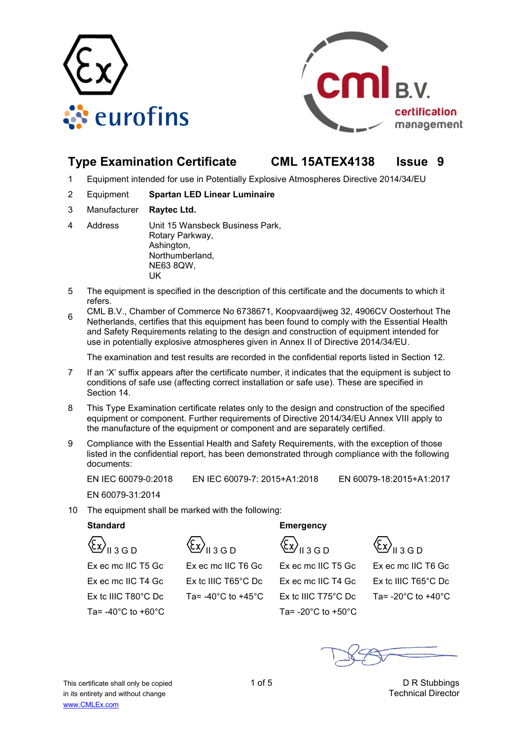



# **Type Examination Certificate CML 15ATEX4138 Issue 9**

- 1 Equipment intended for use in Potentially Explosive Atmospheres Directive 2014/34/EU
- 2 Equipment **Spartan LED Linear Luminaire**
- 3 Manufacturer **Raytec Ltd.**
- 4 Address Unit 15 Wansbeck Business Park, Rotary Parkway, Ashington, Northumberland, NE63 8QW, **IK**
- 5 The equipment is specified in the description of this certificate and the documents to which it refers.
- <sup>6</sup>CML B.V., Chamber of Commerce No 6738671, Koopvaardijweg 32, 4906CV Oosterhout The Netherlands, certifies that this equipment has been found to comply with the Essential Health and Safety Requirements relating to the design and construction of equipment intended for use in potentially explosive atmospheres given in Annex II of Directive 2014/34/EU.

The examination and test results are recorded in the confidential reports listed in Section 12.

- 7 If an 'X' suffix appears after the certificate number, it indicates that the equipment is subject to conditions of safe use (affecting correct installation or safe use). These are specified in Section 14.
- 8 This Type Examination certificate relates only to the design and construction of the specified equipment or component. Further requirements of Directive 2014/34/EU Annex VIII apply to the manufacture of the equipment or component and are separately certified.
- 9 Compliance with the Essential Health and Safety Requirements, with the exception of those listed in the confidential report, has been demonstrated through compliance with the following documents:

EN IEC 60079-0:2018 EN IEC 60079-7: 2015+A1:2018 EN 60079-18:2015+A1:2017

EN 60079-31:2014

10 The equipment shall be marked with the following:

 $\langle \xi_X \rangle_{\text{H3GD}}$   $\langle \xi_X \rangle_{\text{H3GD}}$   $\langle \xi_X \rangle_{\text{H3GD}}$   $\langle \xi_X \rangle_{\text{H3GD}}$ 

Ta= $-40^{\circ}$ C to  $+60^{\circ}$ C Ta= $-20^{\circ}$ C to  $+50^{\circ}$ C



 Ex ec mc IIC T5 Gc Ex ec mc IIC T6 Gc Ex ec mc IIC T5 Gc Ex ec mc IIC T6 Gc Ex ec mc IIC T4 Gc Ex tc IIIC T65°C Dc Ex ec mc IIC T4 Gc Ex tc IIIC T65°C Dc Ex tc IIIC T80°C Dc Ta= -40°C to +45°C Ex tc IIIC T75°C Dc Ta= -20°C to +40°C

# **Standard Emergency**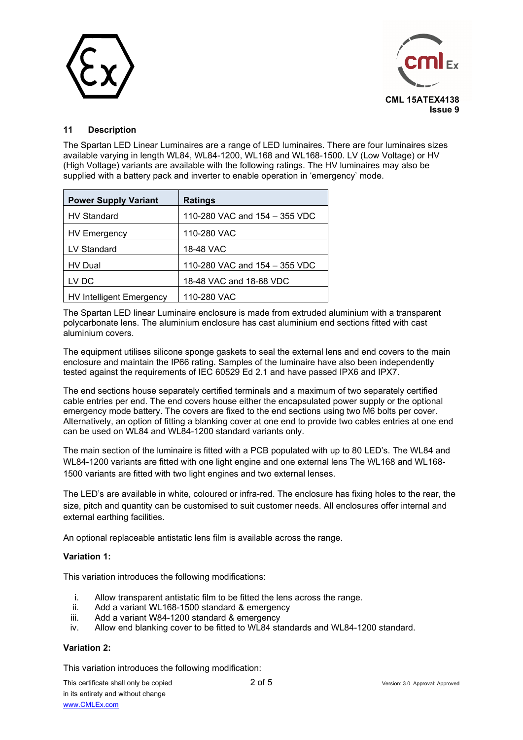



## **11 Description**

The Spartan LED Linear Luminaires are a range of LED luminaires. There are four luminaires sizes available varying in length WL84, WL84-1200, WL168 and WL168-1500. LV (Low Voltage) or HV (High Voltage) variants are available with the following ratings. The HV luminaires may also be supplied with a battery pack and inverter to enable operation in 'emergency' mode.

| <b>Power Supply Variant</b>     | <b>Ratings</b>                |
|---------------------------------|-------------------------------|
| <b>HV Standard</b>              | 110-280 VAC and 154 - 355 VDC |
| <b>HV Emergency</b>             | 110-280 VAC                   |
| LV Standard                     | 18-48 VAC                     |
| HV Dual                         | 110-280 VAC and 154 - 355 VDC |
| LV DC                           | 18-48 VAC and 18-68 VDC       |
| <b>HV Intelligent Emergency</b> | 110-280 VAC                   |

The Spartan LED linear Luminaire enclosure is made from extruded aluminium with a transparent polycarbonate lens. The aluminium enclosure has cast aluminium end sections fitted with cast aluminium covers.

The equipment utilises silicone sponge gaskets to seal the external lens and end covers to the main enclosure and maintain the IP66 rating. Samples of the luminaire have also been independently tested against the requirements of IEC 60529 Ed 2.1 and have passed IPX6 and IPX7.

The end sections house separately certified terminals and a maximum of two separately certified cable entries per end. The end covers house either the encapsulated power supply or the optional emergency mode battery. The covers are fixed to the end sections using two M6 bolts per cover. Alternatively, an option of fitting a blanking cover at one end to provide two cables entries at one end can be used on WL84 and WL84-1200 standard variants only.

The main section of the luminaire is fitted with a PCB populated with up to 80 LED's. The WL84 and WL84-1200 variants are fitted with one light engine and one external lens The WL168 and WL168- 1500 variants are fitted with two light engines and two external lenses.

The LED's are available in white, coloured or infra-red. The enclosure has fixing holes to the rear, the size, pitch and quantity can be customised to suit customer needs. All enclosures offer internal and external earthing facilities.

An optional replaceable antistatic lens film is available across the range.

#### **Variation 1:**

This variation introduces the following modifications:

- i. Allow transparent antistatic film to be fitted the lens across the range.
- ii. Add a variant WL168-1500 standard & emergency
- iii. Add a variant W84-1200 standard & emergency
- iv. Allow end blanking cover to be fitted to WL84 standards and WL84-1200 standard.

## **Variation 2:**

This variation introduces the following modification: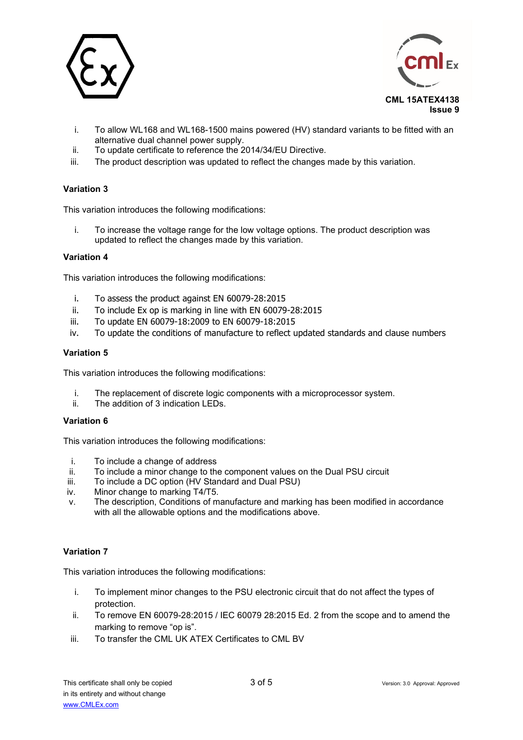



- i. To allow WL168 and WL168-1500 mains powered (HV) standard variants to be fitted with an alternative dual channel power supply.
- ii. To update certificate to reference the 2014/34/EU Directive.
- iii. The product description was updated to reflect the changes made by this variation.

## **Variation 3**

This variation introduces the following modifications:

i. To increase the voltage range for the low voltage options. The product description was updated to reflect the changes made by this variation.

#### **Variation 4**

This variation introduces the following modifications:

- i. To assess the product against EN 60079-28:2015
- ii. To include Ex op is marking in line with EN 60079-28:2015
- iii. To update EN 60079-18:2009 to EN 60079-18:2015
- iv. To update the conditions of manufacture to reflect updated standards and clause numbers

#### **Variation 5**

This variation introduces the following modifications:

- i. The replacement of discrete logic components with a microprocessor system.<br>ii The addition of 3 indication LEDs
- The addition of 3 indication LEDs.

#### **Variation 6**

This variation introduces the following modifications:

- i. To include a change of address
- ii. To include a minor change to the component values on the Dual PSU circuit
- iii. To include a DC option (HV Standard and Dual PSU)
- iv. Minor change to marking T4/T5.
- v. The description, Conditions of manufacture and marking has been modified in accordance with all the allowable options and the modifications above.

#### **Variation 7**

This variation introduces the following modifications:

- i. To implement minor changes to the PSU electronic circuit that do not affect the types of protection.
- ii. To remove EN 60079-28:2015 / IEC 60079 28:2015 Ed. 2 from the scope and to amend the marking to remove "op is".
- iii. To transfer the CML UK ATEX Certificates to CML BV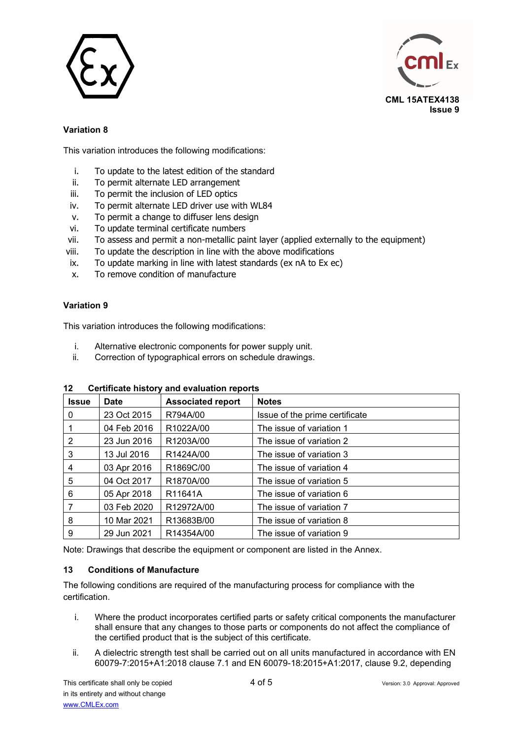



# **Variation 8**

This variation introduces the following modifications:

- i. To update to the latest edition of the standard
- ii. To permit alternate LED arrangement
- iii. To permit the inclusion of LED optics
- iv. To permit alternate LED driver use with WL84
- v. To permit a change to diffuser lens design
- vi. To update terminal certificate numbers
- vii. To assess and permit a non-metallic paint layer (applied externally to the equipment)
- viii. To update the description in line with the above modifications
- ix. To update marking in line with latest standards (ex nA to Ex ec)
- x. To remove condition of manufacture

## **Variation 9**

This variation introduces the following modifications:

- i. Alternative electronic components for power supply unit.
- ii. Correction of typographical errors on schedule drawings.

| <b>Issue</b> | <b>Date</b> | <b>Associated report</b> | <b>Notes</b>                   |
|--------------|-------------|--------------------------|--------------------------------|
| 0            | 23 Oct 2015 | R794A/00                 | Issue of the prime certificate |
|              | 04 Feb 2016 | R1022A/00                | The issue of variation 1       |
| 2            | 23 Jun 2016 | R1203A/00                | The issue of variation 2       |
| 3            | 13 Jul 2016 | R <sub>1424</sub> A/00   | The issue of variation 3       |
| 4            | 03 Apr 2016 | R1869C/00                | The issue of variation 4       |
| 5            | 04 Oct 2017 | R1870A/00                | The issue of variation 5       |
| 6            | 05 Apr 2018 | R <sub>11641</sub> A     | The issue of variation 6       |
| 7            | 03 Feb 2020 | R12972A/00               | The issue of variation 7       |
| 8            | 10 Mar 2021 | R13683B/00               | The issue of variation 8       |
| 9            | 29 Jun 2021 | R14354A/00               | The issue of variation 9       |

## **12 Certificate history and evaluation reports**

Note: Drawings that describe the equipment or component are listed in the Annex.

## **13 Conditions of Manufacture**

The following conditions are required of the manufacturing process for compliance with the certification.

- i. Where the product incorporates certified parts or safety critical components the manufacturer shall ensure that any changes to those parts or components do not affect the compliance of the certified product that is the subject of this certificate.
- ii. A dielectric strength test shall be carried out on all units manufactured in accordance with EN 60079-7:2015+A1:2018 clause 7.1 and EN 60079-18:2015+A1:2017, clause 9.2, depending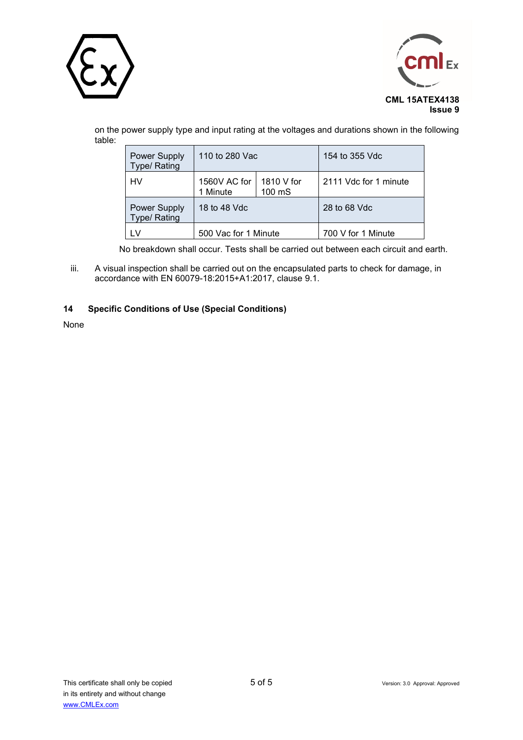



on the power supply type and input rating at the voltages and durations shown in the following table:

| Power Supply<br>Type/ Rating | 110 to 280 Vac           |                      | 154 to 355 Vdc        |
|------------------------------|--------------------------|----------------------|-----------------------|
| HV                           | 1560V AC for<br>1 Minute | 1810 V for<br>100 mS | 2111 Vdc for 1 minute |
| Power Supply<br>Type/ Rating | 18 to 48 Vdc             |                      | 28 to 68 Vdc          |
|                              | 500 Vac for 1 Minute     |                      | 700 V for 1 Minute    |

No breakdown shall occur. Tests shall be carried out between each circuit and earth.

iii. A visual inspection shall be carried out on the encapsulated parts to check for damage, in accordance with EN 60079-18:2015+A1:2017, clause 9.1.

### **14 Specific Conditions of Use (Special Conditions)**

None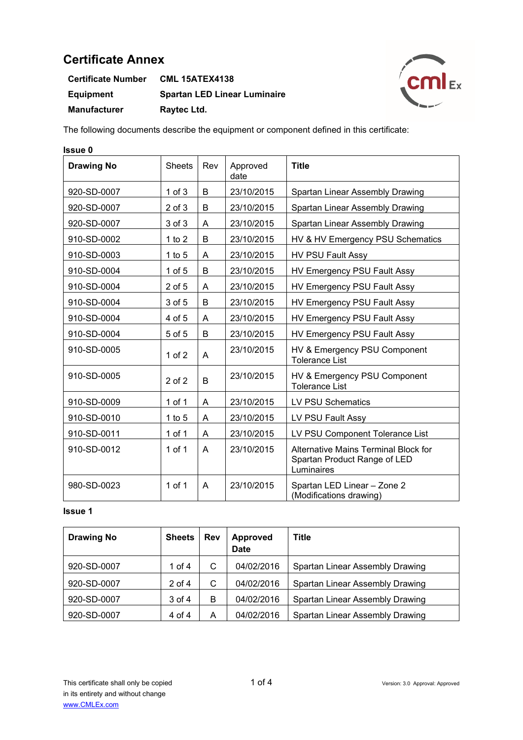| <b>Certificate Number</b> | <b>CML 15ATEX4138</b>               |
|---------------------------|-------------------------------------|
| <b>Equipment</b>          | <b>Spartan LED Linear Luminaire</b> |
| <b>Manufacturer</b>       | Raytec Ltd.                         |



The following documents describe the equipment or component defined in this certificate:

| <b>Issue 0</b>    |               |     |                  |                                                                                    |
|-------------------|---------------|-----|------------------|------------------------------------------------------------------------------------|
| <b>Drawing No</b> | <b>Sheets</b> | Rev | Approved<br>date | <b>Title</b>                                                                       |
| 920-SD-0007       | $1$ of $3$    | B   | 23/10/2015       | Spartan Linear Assembly Drawing                                                    |
| 920-SD-0007       | $2$ of $3$    | B   | 23/10/2015       | Spartan Linear Assembly Drawing                                                    |
| 920-SD-0007       | 3 of 3        | A   | 23/10/2015       | Spartan Linear Assembly Drawing                                                    |
| 910-SD-0002       | 1 to $2$      | B   | 23/10/2015       | HV & HV Emergency PSU Schematics                                                   |
| 910-SD-0003       | $1$ to $5$    | Α   | 23/10/2015       | <b>HV PSU Fault Assy</b>                                                           |
| 910-SD-0004       | $1$ of $5$    | B   | 23/10/2015       | HV Emergency PSU Fault Assy                                                        |
| 910-SD-0004       | $2$ of $5$    | A   | 23/10/2015       | HV Emergency PSU Fault Assy                                                        |
| 910-SD-0004       | 3 of 5        | B   | 23/10/2015       | HV Emergency PSU Fault Assy                                                        |
| 910-SD-0004       | 4 of 5        | Α   | 23/10/2015       | HV Emergency PSU Fault Assy                                                        |
| 910-SD-0004       | 5 of 5        | B   | 23/10/2015       | HV Emergency PSU Fault Assy                                                        |
| 910-SD-0005       | $1$ of $2$    | A   | 23/10/2015       | HV & Emergency PSU Component<br><b>Tolerance List</b>                              |
| 910-SD-0005       | $2$ of $2$    | B   | 23/10/2015       | HV & Emergency PSU Component<br><b>Tolerance List</b>                              |
| 910-SD-0009       | 1 of 1        | A   | 23/10/2015       | <b>LV PSU Schematics</b>                                                           |
| 910-SD-0010       | 1 to $5$      | A   | 23/10/2015       | LV PSU Fault Assy                                                                  |
| 910-SD-0011       | $1$ of $1$    | A   | 23/10/2015       | LV PSU Component Tolerance List                                                    |
| 910-SD-0012       | 1 of $1$      | A   | 23/10/2015       | Alternative Mains Terminal Block for<br>Spartan Product Range of LED<br>Luminaires |
| 980-SD-0023       | 1 of 1        | A   | 23/10/2015       | Spartan LED Linear - Zone 2<br>(Modifications drawing)                             |

| <b>Drawing No</b> | <b>Sheets</b> | <b>Rev</b> | <b>Approved</b><br><b>Date</b> | <b>Title</b>                    |
|-------------------|---------------|------------|--------------------------------|---------------------------------|
| 920-SD-0007       | 1 of $4$      | С          | 04/02/2016                     | Spartan Linear Assembly Drawing |
| 920-SD-0007       | $2$ of 4      | С          | 04/02/2016                     | Spartan Linear Assembly Drawing |
| 920-SD-0007       | 3 of 4        | В          | 04/02/2016                     | Spartan Linear Assembly Drawing |
| 920-SD-0007       | 4 of 4        | А          | 04/02/2016                     | Spartan Linear Assembly Drawing |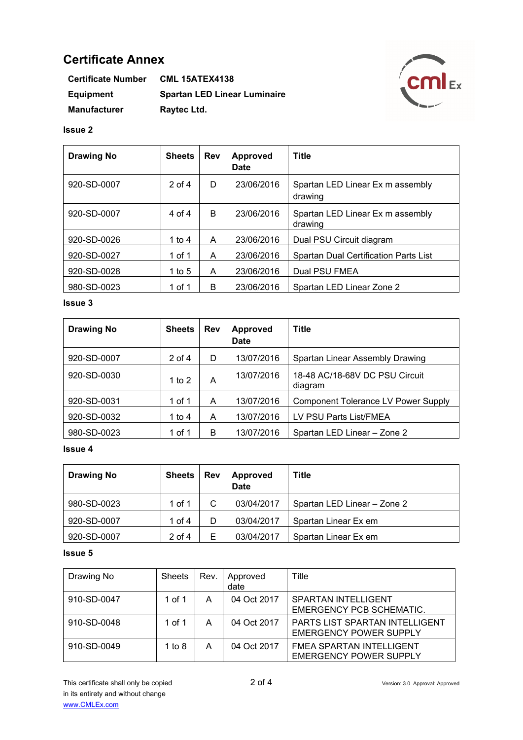| <b>Certificate Number</b> | <b>CML 15ATEX4138</b>               |
|---------------------------|-------------------------------------|
| Equipment                 | <b>Spartan LED Linear Luminaire</b> |
| <b>Manufacturer</b>       | Raytec Ltd.                         |



#### **Issue 2**

| <b>Drawing No</b> | <b>Sheets</b> | Rev | <b>Approved</b><br><b>Date</b> | Title                                       |
|-------------------|---------------|-----|--------------------------------|---------------------------------------------|
| 920-SD-0007       | $2$ of 4      | D   | 23/06/2016                     | Spartan LED Linear Ex m assembly<br>drawing |
| 920-SD-0007       | 4 of 4        | B   | 23/06/2016                     | Spartan LED Linear Ex m assembly<br>drawing |
| 920-SD-0026       | 1 to 4        | A   | 23/06/2016                     | Dual PSU Circuit diagram                    |
| 920-SD-0027       | 1 of 1        | A   | 23/06/2016                     | Spartan Dual Certification Parts List       |
| 920-SD-0028       | 1 to $5$      | A   | 23/06/2016                     | Dual PSU FMEA                               |
| 980-SD-0023       | 1 of 1        | B   | 23/06/2016                     | Spartan LED Linear Zone 2                   |

# **Issue 3**

| <b>Drawing No</b> | <b>Sheets</b> | <b>Rev</b> | <b>Approved</b><br><b>Date</b> | <b>Title</b>                               |
|-------------------|---------------|------------|--------------------------------|--------------------------------------------|
| 920-SD-0007       | $2$ of 4      | D          | 13/07/2016                     | Spartan Linear Assembly Drawing            |
| 920-SD-0030       | 1 to 2        | A          | 13/07/2016                     | 18-48 AC/18-68V DC PSU Circuit<br>diagram  |
| 920-SD-0031       | 1 of 1        | A          | 13/07/2016                     | <b>Component Tolerance LV Power Supply</b> |
| 920-SD-0032       | 1 to 4        | A          | 13/07/2016                     | LV PSU Parts List/FMEA                     |
| 980-SD-0023       | 1 of 1        | B          | 13/07/2016                     | Spartan LED Linear - Zone 2                |

# **Issue 4**

| <b>Drawing No</b> | <b>Sheets</b> | <b>Rev</b> | <b>Approved</b><br><b>Date</b> | <b>Title</b>                |
|-------------------|---------------|------------|--------------------------------|-----------------------------|
| 980-SD-0023       | 1 of 1        | C          | 03/04/2017                     | Spartan LED Linear - Zone 2 |
| 920-SD-0007       | 1 of 4        | D          | 03/04/2017                     | Spartan Linear Ex em        |
| 920-SD-0007       | $2$ of 4      | Е          | 03/04/2017                     | Spartan Linear Ex em        |

| Drawing No  | <b>Sheets</b> | Rev. | Approved<br>date | Title                                                                  |
|-------------|---------------|------|------------------|------------------------------------------------------------------------|
| 910-SD-0047 | 1 of 1        | А    | 04 Oct 2017      | <b>SPARTAN INTELLIGENT</b><br>EMERGENCY PCB SCHEMATIC.                 |
| 910-SD-0048 | 1 of 1        | А    | 04 Oct 2017      | <b>PARTS LIST SPARTAN INTELLIGENT</b><br><b>EMERGENCY POWER SUPPLY</b> |
| 910-SD-0049 | 1 to $8$      | А    | 04 Oct 2017      | <b>FMEA SPARTAN INTELLIGENT</b><br><b>EMERGENCY POWER SUPPLY</b>       |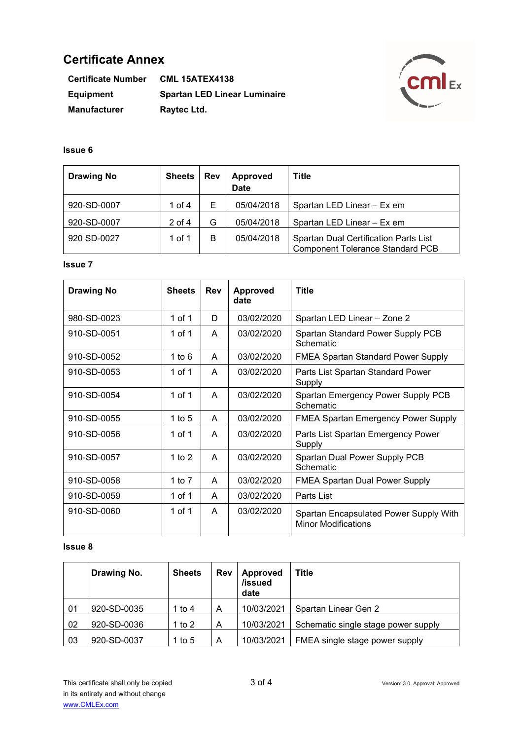| <b>Certificate Number</b> | <b>CML 15ATEX4138</b>               |
|---------------------------|-------------------------------------|
| Equipment                 | <b>Spartan LED Linear Luminaire</b> |
| <b>Manufacturer</b>       | Raytec Ltd.                         |



# **Issue 6**

| <b>Drawing No</b> | <b>Sheets</b> | <b>Rev</b> | <b>Approved</b><br><b>Date</b> | <b>Title</b>                                                                            |
|-------------------|---------------|------------|--------------------------------|-----------------------------------------------------------------------------------------|
| 920-SD-0007       | 1 of 4        | Е          | 05/04/2018                     | Spartan LED Linear - Ex em                                                              |
| 920-SD-0007       | $2$ of $4$    | G          | 05/04/2018                     | Spartan LED Linear - Ex em                                                              |
| 920 SD-0027       | 1 of 1        | B          | 05/04/2018                     | <b>Spartan Dual Certification Parts List</b><br><b>Component Tolerance Standard PCB</b> |

### **Issue 7**

| <b>Drawing No</b> | <b>Sheets</b> | <b>Rev</b> | <b>Approved</b><br>date | <b>Title</b>                                                         |
|-------------------|---------------|------------|-------------------------|----------------------------------------------------------------------|
| 980-SD-0023       | 1 of 1        | D          | 03/02/2020              | Spartan LED Linear - Zone 2                                          |
| 910-SD-0051       | 1 of 1        | A          | 03/02/2020              | Spartan Standard Power Supply PCB<br>Schematic                       |
| 910-SD-0052       | 1 to $6$      | A          | 03/02/2020              | <b>FMEA Spartan Standard Power Supply</b>                            |
| 910-SD-0053       | 1 of 1        | A          | 03/02/2020              | Parts List Spartan Standard Power<br>Supply                          |
| 910-SD-0054       | 1 of 1        | A          | 03/02/2020              | Spartan Emergency Power Supply PCB<br>Schematic                      |
| 910-SD-0055       | 1 to 5        | A          | 03/02/2020              | <b>FMEA Spartan Emergency Power Supply</b>                           |
| 910-SD-0056       | 1 of 1        | A          | 03/02/2020              | Parts List Spartan Emergency Power<br>Supply                         |
| 910-SD-0057       | 1 to $2$      | A          | 03/02/2020              | Spartan Dual Power Supply PCB<br>Schematic                           |
| 910-SD-0058       | 1 to 7        | A          | 03/02/2020              | <b>FMEA Spartan Dual Power Supply</b>                                |
| 910-SD-0059       | 1 of 1        | A          | 03/02/2020              | Parts List                                                           |
| 910-SD-0060       | 1 of 1        | A          | 03/02/2020              | Spartan Encapsulated Power Supply With<br><b>Minor Modifications</b> |

|    | Drawing No. | <b>Sheets</b> | Rev | <b>Approved</b><br>/issued<br>date | <b>Title</b>                        |
|----|-------------|---------------|-----|------------------------------------|-------------------------------------|
| 01 | 920-SD-0035 | 1 to 4        | A   | 10/03/2021                         | Spartan Linear Gen 2                |
| 02 | 920-SD-0036 | 1 to $2$      | Α   | 10/03/2021                         | Schematic single stage power supply |
| 03 | 920-SD-0037 | 1 to 5        | A   | 10/03/2021                         | FMEA single stage power supply      |